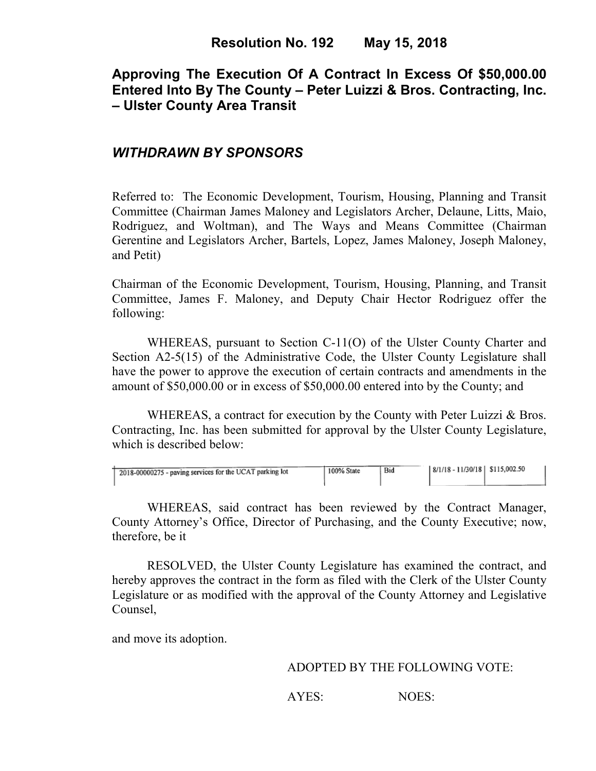# **Approving The Execution Of A Contract In Excess Of \$50,000.00 Entered Into By The County – Peter Luizzi & Bros. Contracting, Inc. – Ulster County Area Transit**

### *WITHDRAWN BY SPONSORS*

Referred to: The Economic Development, Tourism, Housing, Planning and Transit Committee (Chairman James Maloney and Legislators Archer, Delaune, Litts, Maio, Rodriguez, and Woltman), and The Ways and Means Committee (Chairman Gerentine and Legislators Archer, Bartels, Lopez, James Maloney, Joseph Maloney, and Petit)

Chairman of the Economic Development, Tourism, Housing, Planning, and Transit Committee, James F. Maloney, and Deputy Chair Hector Rodriguez offer the following:

WHEREAS, pursuant to Section C-11(O) of the Ulster County Charter and Section A2-5(15) of the Administrative Code, the Ulster County Legislature shall have the power to approve the execution of certain contracts and amendments in the amount of \$50,000.00 or in excess of \$50,000.00 entered into by the County; and

WHEREAS, a contract for execution by the County with Peter Luizzi & Bros. Contracting, Inc. has been submitted for approval by the Ulster County Legislature, which is described below:

| <sup>1</sup> 2018-00000275 - paving services for the UCAT parking lot | 100% State | Bid | $ 8/1/18 - 11/30/18 $ \$115,002.50 |  |
|-----------------------------------------------------------------------|------------|-----|------------------------------------|--|
|                                                                       |            |     |                                    |  |

WHEREAS, said contract has been reviewed by the Contract Manager, County Attorney's Office, Director of Purchasing, and the County Executive; now, therefore, be it

RESOLVED, the Ulster County Legislature has examined the contract, and hereby approves the contract in the form as filed with the Clerk of the Ulster County Legislature or as modified with the approval of the County Attorney and Legislative Counsel,

and move its adoption.

#### ADOPTED BY THE FOLLOWING VOTE:

AYES: NOES: